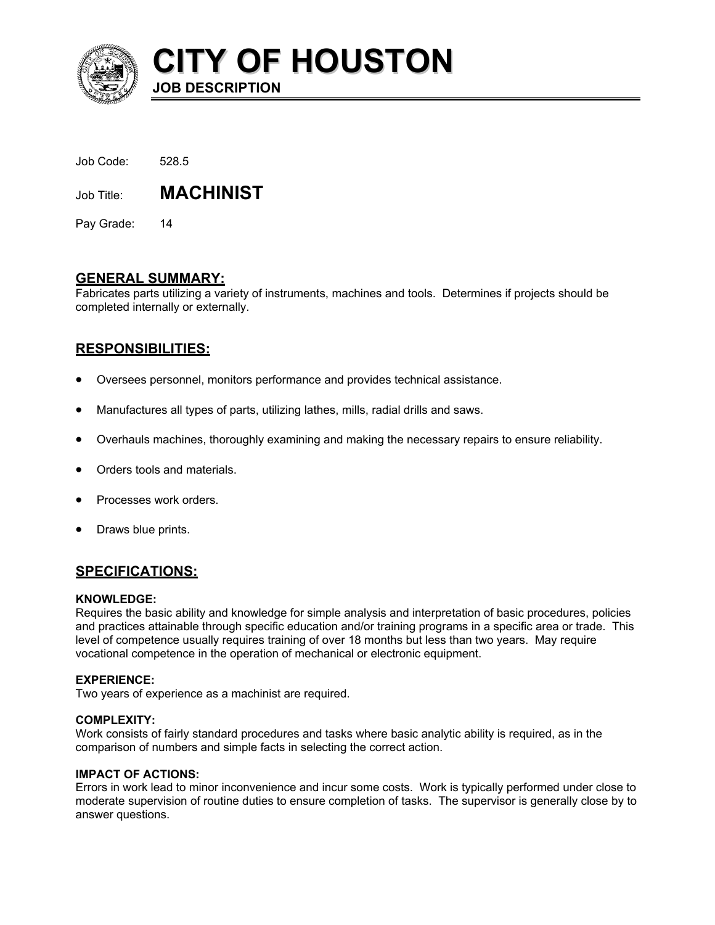

**CITY OF HOUSTON**

| Job Code: | 528.5 |
|-----------|-------|
|           |       |

Job Title: **MACHINIST** 

**JOB DESCRIPTION** 

Pay Grade: 14

# **GENERAL SUMMARY:**

Fabricates parts utilizing a variety of instruments, machines and tools. Determines if projects should be completed internally or externally.

# **RESPONSIBILITIES:**

- Oversees personnel, monitors performance and provides technical assistance.
- Manufactures all types of parts, utilizing lathes, mills, radial drills and saws.
- Overhauls machines, thoroughly examining and making the necessary repairs to ensure reliability.
- Orders tools and materials.
- Processes work orders.
- Draws blue prints.

# **SPECIFICATIONS:**

## **KNOWLEDGE:**

Requires the basic ability and knowledge for simple analysis and interpretation of basic procedures, policies and practices attainable through specific education and/or training programs in a specific area or trade. This level of competence usually requires training of over 18 months but less than two years. May require vocational competence in the operation of mechanical or electronic equipment.

## **EXPERIENCE:**

Two years of experience as a machinist are required.

## **COMPLEXITY:**

Work consists of fairly standard procedures and tasks where basic analytic ability is required, as in the comparison of numbers and simple facts in selecting the correct action.

## **IMPACT OF ACTIONS:**

Errors in work lead to minor inconvenience and incur some costs. Work is typically performed under close to moderate supervision of routine duties to ensure completion of tasks. The supervisor is generally close by to answer questions.